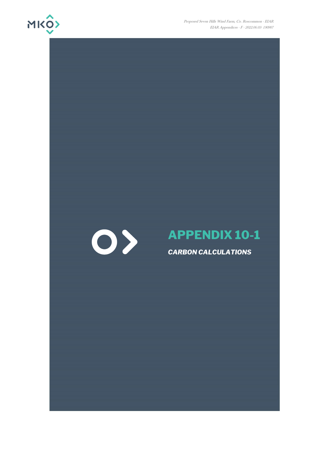

Proposed Seven Hills Wind Farm, Co. Roscommon - EIAR EIAR Appendices - F - 2022.06.03- 190907



# **APPENDIX 10-1**

*CARBON CALCULATIONS*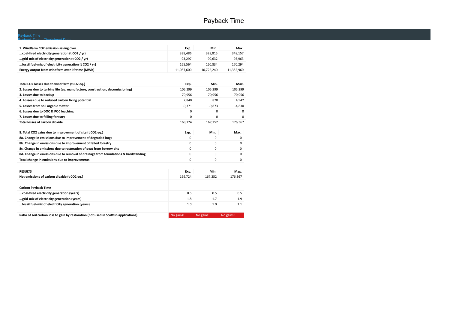## Payback Time

### Payback Time

Payback Time ChartsInput Data

| 1. Windfarm CO2 emission saving over                   | Exp.       | Min.       | Max.       |
|--------------------------------------------------------|------------|------------|------------|
| coal-fired electricity generation (t CO2 / yr)         | 338.486    | 328.815    | 348.157    |
| grid-mix of electricity generation (t CO2 / yr)        | 93.297     | 90.632     | 95.963     |
| fossil fuel-mix of electricity generation (t CO2 / yr) | 165.564    | 160.834    | 170.294    |
| Energy output from windfarm over lifetime (MWh)        | 11.037.600 | 10.722.240 | 11,352,960 |

| Total CO2 losses due to wind farm (tCO2 eq.)                                         | Exp.        | Min.      | Max.      |
|--------------------------------------------------------------------------------------|-------------|-----------|-----------|
| 2. Losses due to turbine life (eg. manufacture, construction, decomissioning)        | 105,299     | 105,299   | 105,299   |
| 3. Losses due to backup                                                              | 70,956      | 70,956    | 70,956    |
| 4. Lossess due to reduced carbon fixing potential                                    | 2.840       | 870       | 4,942     |
| 5. Losses from soil organic matter                                                   | $-9,371$    | $-9,873$  | $-4,830$  |
| 6. Losses due to DOC & POC leaching                                                  | 0           | 0         | 0         |
| 7. Losses due to felling forestry                                                    | 0           | 0         | 0         |
| Total losses of carbon dioxide                                                       | 169,724     | 167,252   | 176,367   |
|                                                                                      |             |           |           |
| 8. Total CO2 gains due to improvement of site (t CO2 eq.)                            | Exp.        | Min.      | Max.      |
| 8a. Change in emissions due to improvement of degraded bogs                          | $\Omega$    | 0         | $\Omega$  |
| 8b. Change in emissions due to improvement of felled forestry                        | $\Omega$    | $\Omega$  | 0         |
| 8c. Change in emissions due to restoration of peat from borrow pits                  | 0           | $\Omega$  | 0         |
| 8d. Change in emissions due to removal of drainage from foundations & hardstanding   | 0           | 0         | 0         |
| Total change in emissions due to improvements                                        | $\mathbf 0$ | $\Omega$  | $\Omega$  |
|                                                                                      |             |           |           |
| <b>RESULTS</b>                                                                       | Exp.        | Min.      | Max.      |
| Net emissions of carbon dioxide (t CO2 eq.)                                          | 169,724     | 167,252   | 176,367   |
|                                                                                      |             |           |           |
| <b>Carbon Payback Time</b>                                                           |             |           |           |
| coal-fired electricity generation (years)                                            | 0.5         | 0.5       | 0.5       |
| grid-mix of electricity generation (years)                                           | 1.8         | 1.7       | 1.9       |
| fossil fuel-mix of electricity generation (years)                                    | 1.0         | 1.0       | 1.1       |
|                                                                                      |             |           |           |
| Ratio of soil carbon loss to gain by restoration (not used in Scottish applications) | No gains!   | No gains! | No gains! |

**Ratio of soil carbon loss to gain by restoration (not used in Scottish applications)**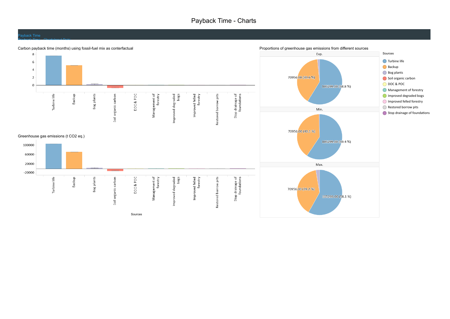### Payback Time - Charts

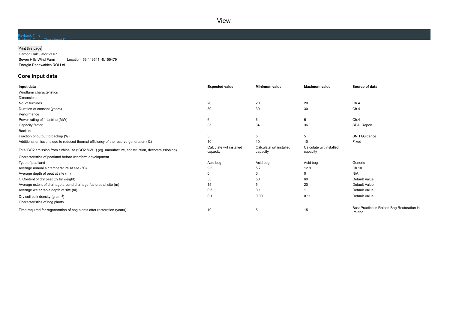View

### Payback Time

#### Print this page

Carbon Calculator v1.6.1 Seven Hills Wind Farm Location: 53.449541 -8.155479 Energia Renewables ROI Ltd.

### **Core input data**

Payback Time ChartsInput Data

| Input data                                                                                                     | <b>Expected value</b>               | <b>Minimum value</b>                | <b>Maximum value</b>                | Source of data                                        |
|----------------------------------------------------------------------------------------------------------------|-------------------------------------|-------------------------------------|-------------------------------------|-------------------------------------------------------|
| Windfarm characteristics                                                                                       |                                     |                                     |                                     |                                                       |
| <b>Dimensions</b>                                                                                              |                                     |                                     |                                     |                                                       |
| No. of turbines                                                                                                | 20                                  | 20                                  | 20                                  | Ch.4                                                  |
| Duration of consent (years)                                                                                    | 30                                  | 30                                  | 30                                  | Ch.4                                                  |
| Performance                                                                                                    |                                     |                                     |                                     |                                                       |
| Power rating of 1 turbine (MW)                                                                                 | 6                                   | 6                                   | 6                                   | Ch.4                                                  |
| Capacity factor                                                                                                | 35                                  | 34                                  | 36                                  | <b>SEAI Report</b>                                    |
| Backup                                                                                                         |                                     |                                     |                                     |                                                       |
| Fraction of output to backup (%)                                                                               | 5                                   | 5                                   | 5                                   | <b>SNH Guidance</b>                                   |
| Additional emissions due to reduced thermal efficiency of the reserve generation (%)                           | 10                                  | 10                                  | 10                                  | Fixed                                                 |
| Total CO2 emission from turbine life (tCO2 MW <sup>-1</sup> ) (eg. manufacture, construction, decommissioning) | Calculate wrt installed<br>capacity | Calculate wrt installed<br>capacity | Calculate wrt installed<br>capacity |                                                       |
| Characteristics of peatland before windfarm development                                                        |                                     |                                     |                                     |                                                       |
| Type of peatland                                                                                               | Acid bog                            | Acid bog                            | Acid bog                            | Generic                                               |
| Average annual air temperature at site (°C)                                                                    | 9.3                                 | 5.7                                 | 12.9                                | Ch.10                                                 |
| Average depth of peat at site (m)                                                                              | 0                                   | 0                                   | 0                                   | N/A                                                   |
| C Content of dry peat (% by weight)                                                                            | 55                                  | 50                                  | 60                                  | Default Value                                         |
| Average extent of drainage around drainage features at site (m)                                                | 15                                  | 5                                   | 20                                  | Default Value                                         |
| Average water table depth at site (m)                                                                          | 0.5                                 | 0.1                                 |                                     | Default Value                                         |
| Dry soil bulk density (g $cm^{-3}$ )                                                                           | 0.1                                 | 0.09                                | 0.11                                | Default Value                                         |
| Characteristics of bog plants                                                                                  |                                     |                                     |                                     |                                                       |
| Time required for regeneration of bog plants after restoration (years)                                         | 10                                  | 5                                   | 15                                  | Best Practice in Raised Bog Restoration in<br>Ireland |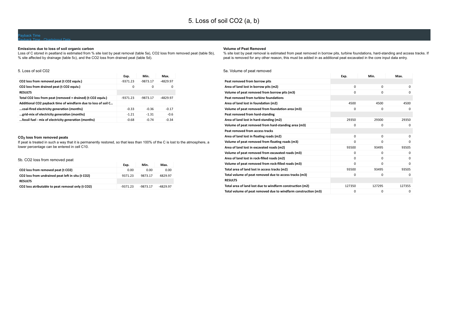### Payback Time - ChartsInput Data

### **Emissions due to loss of soil organic carbon**

Loss of C stored in peatland is estimated from % site lost by peat removal (table 5a), CO2 loss from removed peat (table 5b), % site affected by drainage (table 5c), and the CO2 loss from drained peat (table 5d).

### 5. Loss of soil C02

|                                                               | Exp.       | Min.       | Max.       |
|---------------------------------------------------------------|------------|------------|------------|
| CO2 loss from removed peat (t CO2 equiv.)                     | $-9371.23$ | $-9873.17$ | $-4829.97$ |
| CO2 loss from drained peat (t CO2 equiv.)                     | $\Omega$   | $\Omega$   | 0          |
| <b>RESULTS</b>                                                |            |            |            |
| Total CO2 loss from peat (removed + drained) (t CO2 equiv.)   | $-9371.23$ | $-9873.17$ | $-4829.97$ |
| Additional CO2 payback time of windfarm due to loss of soil C |            |            |            |
| coal-fired electricity generation (months)                    | $-0.33$    | $-0.36$    | $-0.17$    |
| grid-mix of electricity generation (months)                   | $-1.21$    | $-1.31$    | $-0.6$     |
| fossil fuel - mix of electricity generation (months)          | $-0.68$    | $-0.74$    | $-0.34$    |

### **CO2 loss from removed peats**

If peat is treated in such a way that it is permanently restored, so that less than 100% of the C is lost to the atmosphere, a lower percentage can be entered in cell C10.

#### 5b. CO2 loss from removed peat

| 50. COZ JOSS HOIH TEMPORED DEAL                   |            |            |            |
|---------------------------------------------------|------------|------------|------------|
|                                                   | Exp.       | Min.       | Max.       |
| CO2 loss from removed peat (t CO2)                | 0.00       | 0.00       | 0.00       |
| CO2 loss from undrained peat left in situ (t CO2) | 9371.23    | 9873.17    | 4829.97    |
| <b>RESULTS</b>                                    |            |            |            |
| CO2 loss atributable to peat removal only (t CO2) | $-9371.23$ | $-9873.17$ | $-4829.97$ |

#### **Volume of Peat Removed**

% site lost by peat removal is estimated from peat removed in borrow pits, turbine foundations, hard-standing and access tracks. If peat is removed for any other reason, this must be added in as additional peat excavated in the core input data entry.

#### 5a. Volume of peat removed

|                                                                | Exp.     | Min.     | Max.     |
|----------------------------------------------------------------|----------|----------|----------|
| Peat removed from borrow pits                                  |          |          |          |
| Area of land lost in borrow pits (m2)                          | $\Omega$ | $\Omega$ | $\Omega$ |
| Volume of peat removed from borrow pits (m3)                   | 0        | $\Omega$ | 0        |
| Peat removed from turbine foundations                          |          |          |          |
| Area of land lost in foundation (m2)                           | 4500     | 4500     | 4500     |
| Volume of peat removed from foundation area (m3)               | $\Omega$ | 0        | 0        |
| Peat removed from hard-standing                                |          |          |          |
| Area of land lost in hard-standing (m2)                        | 29350    | 29300    | 29350    |
| Volume of peat removed from hard-standing area (m3)            | $\Omega$ | 0        | 0        |
| Peat removed from access tracks                                |          |          |          |
| Area of land lost in floating roads (m2)                       | $\Omega$ | $\Omega$ | $\Omega$ |
| Volume of peat removed from floating roads (m3)                | 0        | 0        | 0        |
| Area of land lost in excavated roads (m2)                      | 93500    | 93495    | 93505    |
| Volume of peat removed from excavated roads (m3)               | $\Omega$ | $\Omega$ | 0        |
| Area of land lost in rock-filled roads (m2)                    | $\Omega$ | $\Omega$ | 0        |
| Volume of peat removed from rock-filled roads (m3)             | $\Omega$ | $\Omega$ | 0        |
| Total area of land lost in access tracks (m2)                  | 93500    | 93495    | 93505    |
| Total volume of peat removed due to access tracks (m3)         | 0        | 0        | 0        |
| <b>RESULTS</b>                                                 |          |          |          |
| Total area of land lost due to windfarm construction (m2)      | 127350   | 127295   | 127355   |
| Total volume of peat removed due to windfarm construction (m3) | 0        | 0        | 0        |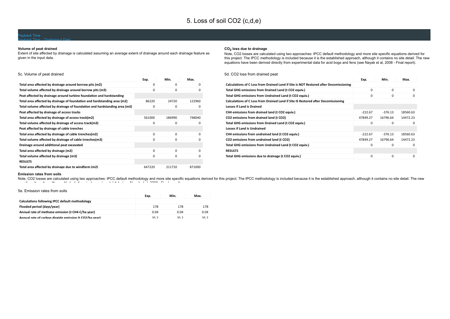### Payback Time - ChartsInput Data

#### **Volume of peat drained**

Extent of site affected by drainage is calculated assuming an average extent of drainage around each drainage feature as given in the input data.

#### **CO2 loss due to drainage**

Note, CO2 losses are calculated using two approaches: IPCC default methodology and more site specific equations derived for this project. The IPCC methodology is included because it is the established approach, although it contains no site detail. The new equations have been derived directly from experimental data for acid bogs and fens (see Nayak et al, 2008 - Final report).

#### 5c. Volume of peat drained 0 0 0 0 0 0 86220 24720 122960 0 0 0 561000 186990 748040 0 0 0 0 0 0 0 0 0 0 0 0 0 0 0 647220 211710 871000 **Exp. Min. Max. Total area affected by drainage around borrow pits (m2) Total volume affected by drainage around borrow pits (m3) Peat affected by drainage around turbine foundation and hardstanding Total area affected by drainage of foundation and hardstanding area (m2) Total volume affected by drainage of foundation and hardstanding area (m3) Peat affected by drainage of access tracks Total area affected by drainage of access track(m2) Total volume affected by drainage of access track(m3) Peat affected by drainage of cable trenches Total area affected by drainage of cable trenches(m2) Total volume affected by drainage of cable trneches(m3) Drainage around additional peat excavated Total area affected by drainage (m2) Total volume affected by drainage (m3) RESULTS Total area affected by drainage due to windfarm (m2)**

#### 5d. CO2 loss from drained peat

| Exp.      | Min.      | Max.     |
|-----------|-----------|----------|
|           |           |          |
| $\Omega$  | $\Omega$  | $\Omega$ |
| 0         | 0         | $\Omega$ |
|           |           |          |
|           |           |          |
| $-222.67$ | $-376.13$ | 18560.63 |
| 47849.27  | 16796.64  | 14472.23 |
| 0         | 0         | $\Omega$ |
|           |           |          |
| $-222.67$ | $-376.13$ | 18560.63 |
| 47849.27  | 16796.64  | 14472.23 |
| 0         | 0         | $\Omega$ |
|           |           |          |
| 0         | $\Omega$  | $\Omega$ |
|           |           |          |

#### **Emission rates from soils**

Note, CO2 losses are calculated using two approaches: IPCC default methodology and more site specific equations derived for this project. The IPCC methodology is included because it is the established approach, although it  $t_{\rm L}$  is defined and the set of the distribution in the distribution of  $\sim$  N  $_{\rm L}$  is the distribution of  $\sim$  N  $_{\rm L}$  is the distribution of  $\sim$  N  $_{\rm L}$  is the distribution of  $\sim$  N  $_{\rm L}$  is the distributi

#### 5e. Emission rates from soils

|                                                        | Exp. | Min. | Max. |
|--------------------------------------------------------|------|------|------|
| Calculations following IPCC default methodology        |      |      |      |
| Flooded period (days/year)                             | 178  | 178  | 178  |
| Annual rate of methane emission (t CH4-C/ha year)      | 0.04 | 0.04 | 0.04 |
| Annual rate of carbon dioxide emission (t CO2/ha year) | 35.2 | 35.2 | 35.2 |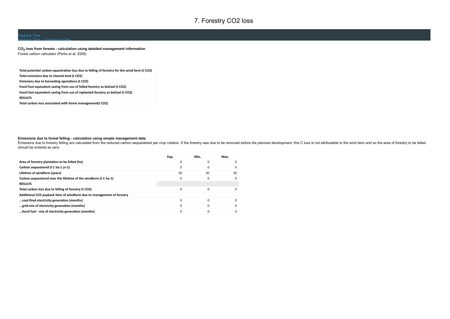### 7. Forestry CO2 loss

### Payback Time - ChartsInput Data

**CO2 loss from forests - calculation using detailed management information** Forest carbon calculator (Perks et al, 2009)

| Total potential carbon squestration loss due to felling of forestry for the wind farm (t CO2) |
|-----------------------------------------------------------------------------------------------|
| Total emissions due to cleared land (t CO2)                                                   |
| Emissions due to harvesting operations (t CO2)                                                |
| Fossil fuel equivalent saving from use of felled forestry as biofuel (t CO2)                  |
| Fossil fuel equivalent saving from use of replanted forestry as biofuel (t CO2)               |
| <b>RESULTS</b>                                                                                |
| Total carbon loss associated with forest management(t CO2)                                    |

### **Emissions due to forest felling - calculation using simple management data**

Emissions due to forestry felling are calculated from the reduced carbon sequestered per crop rotation. If the forestry was due to be removed before the planned development, this C loss is not attributable to the wind farm should be entered as zero.

|                                                                       | Exp.     | Min.     | Max.     |
|-----------------------------------------------------------------------|----------|----------|----------|
| Area of forestry plantation to be felled (ha)                         |          | 0        | $\Omega$ |
| Carbon sequestered (t C ha-1 yr-1)                                    | 0        | 0        | $\Omega$ |
| Lifetime of windfarm (years)                                          | 30       | 30       | 30       |
| Carbon sequestered over the lifetime of the windfarm (t C ha-1)       |          | $\Omega$ | $\Omega$ |
| <b>RESULTS</b>                                                        |          |          |          |
| Total carbon loss due to felling of forestry (t CO2)                  | $\Omega$ | $\Omega$ | $\Omega$ |
| Additional CO2 payback time of windfarm due to management of forestry |          |          |          |
| coal-fired electricity generation (months)                            |          | $\Omega$ | $\Omega$ |
| grid-mix of electricity generation (months)                           |          |          | $\Omega$ |
| fossil fuel - mix of electricity generation (months)                  |          |          | $\Omega$ |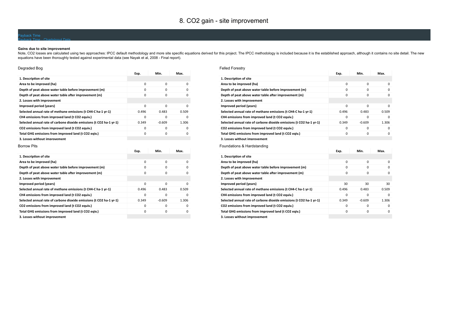### Payback Time - ChartsInput Data

### **Gains due to site improvement**

Note, CO2 losses are calculated using two approaches: IPCC default methodology and more site specific equations derived for this project. The IPCC methodology is included because it is the established approach, although it equations have been thoroughly tested against experimental data (see Nayak et al, 2008 - Final report).

| Degraded Bog                                                        |          |          |          |
|---------------------------------------------------------------------|----------|----------|----------|
|                                                                     | Exp.     | Min.     | Max.     |
| 1. Description of site                                              |          |          |          |
| Area to be improved (ha)                                            | $\Omega$ | $\Omega$ | $\Omega$ |
| Depth of peat above water table before improvement (m)              | $\Omega$ | $\Omega$ | $\Omega$ |
| Depth of peat above water table after improvement (m)               | $\Omega$ | 0        | $\Omega$ |
| 2. Losses with improvement                                          |          |          |          |
| Improved period (years)                                             | $\Omega$ | $\Omega$ | $\Omega$ |
| Selected annual rate of methane emissions (t CH4-C ha-1 yr-1)       | 0.496    | 0.483    | 0.509    |
| CH4 emissions from improved land (t CO2 equiv.)                     | 0        | 0        | $\Omega$ |
| Selected annual rate of carbone dioxide emissions (t CO2 ha-1 yr-1) | 0.349    | $-0.609$ | 1.306    |
| CO2 emissions from improved land (t CO2 equiv.)                     | $\Omega$ | $\Omega$ | $\Omega$ |
| Total GHG emissions from improved land (t CO2 eqiv.)                | $\Omega$ | $\Omega$ | $\Omega$ |
| 3. Losses without improvement                                       |          |          |          |
| <b>Borrow Pits</b>                                                  |          |          |          |
|                                                                     | Exp.     | Min.     | Max.     |

| 1. Description of site                                              |          |             |          |
|---------------------------------------------------------------------|----------|-------------|----------|
| Area to be improved (ha)                                            | $\Omega$ | $\mathbf 0$ | $\Omega$ |
| Depth of peat above water table before improvement (m)              | 0        | 0           | $\Omega$ |
| Depth of peat above water table after improvement (m)               | 0        | $\mathbf 0$ | $\Omega$ |
| 2. Losses with improvement                                          |          |             |          |
| Improved period (years)                                             | $\Omega$ | $\mathbf 0$ | $\Omega$ |
| Selected annual rate of methane emissions (t CH4-C ha-1 yr-1)       | 0.496    | 0.483       | 0.509    |
| CH4 emissions from improved land (t CO2 equiv.)                     | $\Omega$ | $\mathbf 0$ | $\Omega$ |
| Selected annual rate of carbone dioxide emissions (t CO2 ha-1 yr-1) | 0.349    | $-0.609$    | 1.306    |
| CO2 emissions from improved land (t CO2 equiv.)                     | 0        | $\mathbf 0$ | $\Omega$ |
| Total GHG emissions from improved land (t CO2 eqiv.)                | 0        | 0           | $\Omega$ |
| 3. Losses without improvement                                       |          |             |          |

| <b>Felled Forestry</b>                                              |          |             |          |
|---------------------------------------------------------------------|----------|-------------|----------|
|                                                                     | Exp.     | Min.        | Max.     |
| 1. Description of site                                              |          |             |          |
| Area to be improved (ha)                                            | $\Omega$ | $\Omega$    | $\Omega$ |
| Depth of peat above water table before improvement (m)              | $\Omega$ | $\Omega$    | $\Omega$ |
| Depth of peat above water table after improvement (m)               | $\Omega$ | $\Omega$    | $\Omega$ |
| 2. Losses with improvement                                          |          |             |          |
| Improved period (years)                                             | 0        | $\mathbf 0$ | 0        |
| Selected annual rate of methane emissions (t CH4-C ha-1 yr-1)       | 0.496    | 0.483       | 0.509    |
| CH4 emissions from improved land (t CO2 equiv.)                     | 0        | $\mathbf 0$ | $\Omega$ |
| Selected annual rate of carbone dioxide emissions (t CO2 ha-1 yr-1) | 0.349    | $-0.609$    | 1.306    |
| CO2 emissions from improved land (t CO2 equiv.)                     | 0        | $\mathbf 0$ | 0        |
| Total GHG emissions from improved land (t CO2 eqiv.)                | 0        | $\mathbf 0$ | $\Omega$ |
| 3. Losses without improvement                                       |          |             |          |
|                                                                     |          |             |          |
| Foundations & Hardstanding                                          |          |             |          |
|                                                                     | Exp.     | Min.        | Max.     |
| 1. Description of site                                              |          |             |          |
| Area to be improved (ha)                                            | 0        | $\mathbf 0$ | 0        |
| Depth of peat above water table before improvement (m)              | $\Omega$ | $\Omega$    | $\Omega$ |
| Depth of peat above water table after improvement (m)               | 0        | $\mathbf 0$ | 0        |
| 2. Losses with improvement                                          |          |             |          |
| Improved period (years)                                             | 30       | 30          | 30       |
| Selected annual rate of methane emissions (t CH4-C ha-1 yr-1)       | 0.496    | 0.483       | 0.509    |
| CH4 emissions from improved land (t CO2 equiv.)                     | 0        | $\Omega$    | $\Omega$ |
| Selected annual rate of carbone dioxide emissions (t CO2 ha-1 yr-1) | 0.349    | $-0.609$    | 1.306    |
| CO2 emissions from improved land (t CO2 equiv.)                     | 0        | 0           | $\Omega$ |
| Total GHG emissions from improved land (t CO2 eqiv.)                | 0        | $\mathbf 0$ | 0        |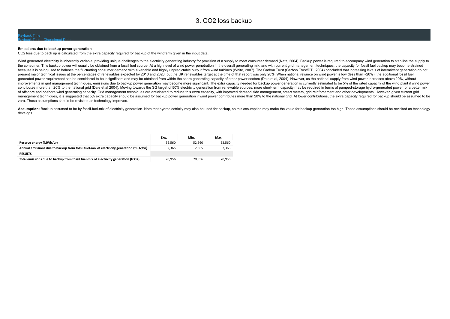### ayback Time

#### **Emissions due to backup power generation**

Payback Time - ChartsInput Data

CO2 loss due to back up is calculated from the extra capacity required for backup of the windfarm given in the input data.

Wind generated electricity is inherently variable, providing unique challenges to the electricity generating industry for provision of a supply to meet consumer demand (Netz, 2004). Backup power is required to accompany wi the consumer. This backup power will usually be obtained from a fossil fuel source. At a high level of wind power penetration in the overall generating mix, and with current grid management techniques, the capacity for fos because it is being used to balance the fluctuating consumer demand with a variable and highly unpredictable output from wind turbines (White, 2007). The Carbon Trust (Carbon Trust/DTI, 2004) concluded that increasing leve present major technical issues at the percentages of renewables expected by 2010 and 2020, but the UK renewables target at the time of that report was only 20%. When national reliance on wind power is low (less than ~20%), generated power requirement can be considered to be insignificant and may be obtained from within the spare generating capacity of other power sectors (Dale et al, 2004). However, as the national supply from wind power inc improvements in grid management techniques, emissions due to backup power generation may become more significant. The extra capacity needed for backup power generation is currently estimated to be 5% of the rated capacity contributes more than 20% to the national grid (Dale et al 2004). Moving towards the SG target of 50% electricity generation from renewable sources, more short-term capacity may be required in terms of pumped-storage hydro of offshore and onshore wind generating capacity. Grid management techniques are anticipated to reduce this extra capacity, with improved demand side management, smart meters, grid reinforcement and other developments. How management techniques, it is suggested that 5% extra capacity should be assumed for backup power generation if wind power contributes more than 20% to the national grid. At lower contributions, the extra capacity required zero. These assumptions should be revisited as technology improves.

Assumption: Backup assumed to be by fossil-fuel-mix of electricity generation. Note that hydroelectricity may also be used for backup, so this assumption may make the value for backup generation too high. These assumptions develops.

|                                                                                         | Exp.   | Min.   | Max.   |
|-----------------------------------------------------------------------------------------|--------|--------|--------|
| Reserve energy (MWh/yr)                                                                 | 52.560 | 52.560 | 52.560 |
| Annual emissions due to backup from fossil fuel-mix of electricity generation (tCO2/yr) | 2.365  | 2.365  | 2.365  |
| <b>RESULTS</b>                                                                          |        |        |        |
| Total emissions due to backup from fossil fuel-mix of electricity generation (tCO2)     | 70.956 | 70.956 | 70.956 |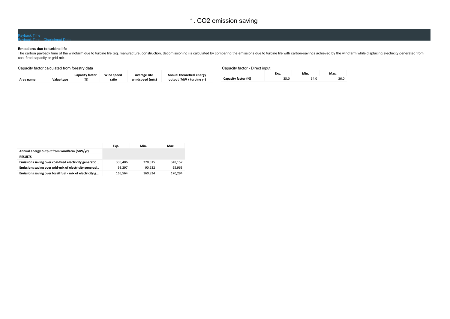### 1. CO2 emission saving

### Payback Time - ChartsInput Data

### **Emissions due to turbine life**

The carbon payback time of the windfarm due to turbine life (eg. manufacture, construction, decomissioning) is calculated by comparing the emissions due to turbine life with carbon-savings achieved by the windfarm while di coal-fired capacity or grid-mix.

| Capacity factor calculated from forestry data |            |                        | Capacity factor - Direct input |                 |                           |                     |      |      |      |
|-----------------------------------------------|------------|------------------------|--------------------------------|-----------------|---------------------------|---------------------|------|------|------|
|                                               |            | <b>Capacity factor</b> | Wind speed                     | Average site    | Annual theoretical energy |                     | Exp. | Min. | Max. |
| Area name                                     | Value type | (%)                    | ratio                          | windspeed (m/s) | output (MW / turbine yr)  | Capacity factor (%) |      | 34.0 | 36.0 |

|                                                          | Exp.    | Min.    | Max.    |
|----------------------------------------------------------|---------|---------|---------|
| Annual energy output from windfarm (MW/yr)               |         |         |         |
| <b>RESULTS</b>                                           |         |         |         |
| Emissions saving over coal-fired electricity generatio   | 338.486 | 328.815 | 348.157 |
| Emissions saving over grid-mix of electricity generati   | 93.297  | 90.632  | 95.963  |
| Emissions saving over fossil fuel - mix of electricity g | 165,564 | 160.834 | 170.294 |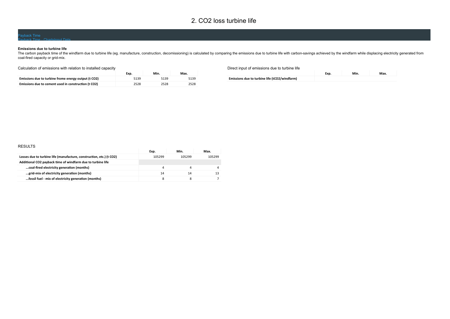### 2. CO2 loss turbine life

### Payback Time - ChartsInput Data

#### **Emissions due to turbine life**

The carbon payback time of the windfarm due to turbine life (eg. manufacture, construction, decomissioning) is calculated by comparing the emissions due to turbine life with carbon-savings achieved by the windfarm while di coal-fired capacity or grid-mix.

### Calculation of emissions with relation to installed capacity

|                                                      | Exp. | Min. | Max. |
|------------------------------------------------------|------|------|------|
| Emissions due to turbine frome energy output (t CO2) | 5139 | 5139 | 5139 |
| Emissions due to cement used in construction (t CO2) | 2528 | 2528 | 2528 |

### Direct input of emissions due to turbine life

**Emissions due to turbine life (tCO2/windfarm)**

| Exp. | Min. | Max. |
|------|------|------|
|      |      |      |

### RESULTS

|                                                                      | Exp.   | Min.   | Max.   |
|----------------------------------------------------------------------|--------|--------|--------|
| Losses due to turbine life (manufacture, construction, etc.) (t CO2) | 105299 | 105299 | 105299 |
| Additional CO2 payback time of windfarm due to turbine life          |        |        |        |
| coal-fired electricity generation (months)                           |        |        |        |
| grid-mix of electricity generation (months)                          | 14     | 14     |        |
| fossil fuel - mix of electricity generation (months)                 |        |        |        |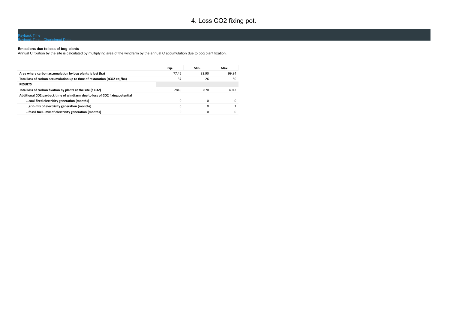## 4. Loss CO2 fixing pot.

### Payback Time - ChartsInput Data

#### **Emissions due to loss of bog plants**

Annual C fixation by the site is calculated by multiplying area of the windfarm by the annual C accumulation due to bog plant fixation.

|                                                                             | Exp.     | Min.  | Max.         |
|-----------------------------------------------------------------------------|----------|-------|--------------|
| Area where carbon accumulation by bog plants is lost (ha)                   | 77.46    | 33.90 | 99.84        |
| Total loss of carbon accumulation up to time of restoration (tCO2 eq./ha)   | 37       | 26    | 50           |
| <b>RESULTS</b>                                                              |          |       |              |
| Total loss of carbon fixation by plants at the site (t CO2)                 | 2840     | 870   | 4942         |
| Additional CO2 payback time of windfarm due to loss of CO2 fixing potential |          |       |              |
| coal-fired electricity generation (months)                                  | $\Omega$ | O     | $\Omega$     |
| grid-mix of electricity generation (months)                                 | 0        | 0     |              |
| fossil fuel - mix of electricity generation (months)                        |          |       | <sup>0</sup> |